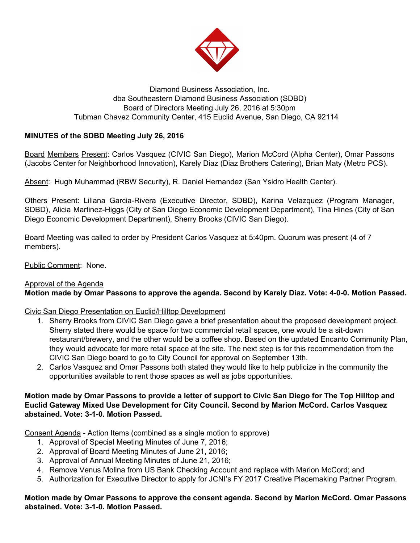

### Diamond Business Association, Inc. dba Southeastern Diamond Business Association (SDBD) Board of Directors Meeting July 26, 2016 at 5:30pm Tubman Chavez Community Center, 415 Euclid Avenue, San Diego, CA 92114

# **MINUTES of the SDBD Meeting July 26, 2016**

Board Members Present: Carlos Vasquez (CIVIC San Diego), Marion McCord (Alpha Center), Omar Passons (Jacobs Center for Neighborhood Innovation), Karely Diaz (Diaz Brothers Catering), Brian Maty (Metro PCS).

Absent: Hugh Muhammad (RBW Security), R. Daniel Hernandez (San Ysidro Health Center).

Others Present: Liliana Garcia-Rivera (Executive Director, SDBD), Karina Velazquez (Program Manager, SDBD), Alicia Martinez-Higgs (City of San Diego Economic Development Department), Tina Hines (City of San Diego Economic Development Department), Sherry Brooks (CIVIC San Diego).

Board Meeting was called to order by President Carlos Vasquez at 5:40pm. Quorum was present (4 of 7 members).

Public Comment: None.

# Approval of the Agenda

# **Motion made by Omar Passons to approve the agenda. Second by Karely Diaz. Vote: 4-0-0. Motion Passed.**

#### Civic San Diego Presentation on Euclid/Hilltop Development

- 1. Sherry Brooks from CIVIC San Diego gave a brief presentation about the proposed development project. Sherry stated there would be space for two commercial retail spaces, one would be a sit-down restaurant/brewery, and the other would be a coffee shop. Based on the updated Encanto Community Plan, they would advocate for more retail space at the site. The next step is for this recommendation from the CIVIC San Diego board to go to City Council for approval on September 13th.
- 2. Carlos Vasquez and Omar Passons both stated they would like to help publicize in the community the opportunities available to rent those spaces as well as jobs opportunities.

#### **Motion made by Omar Passons to provide a letter of support to Civic San Diego for The Top Hilltop and Euclid Gateway Mixed Use Development for City Council. Second by Marion McCord. Carlos Vasquez abstained. Vote: 3-1-0. Motion Passed.**

Consent Agenda - Action Items (combined as a single motion to approve)

- 1. Approval of Special Meeting Minutes of June 7, 2016;
- 2. Approval of Board Meeting Minutes of June 21, 2016;
- 3. Approval of Annual Meeting Minutes of June 21, 2016;
- 4. Remove Venus Molina from US Bank Checking Account and replace with Marion McCord; and
- 5. Authorization for Executive Director to apply for JCNI's FY 2017 Creative Placemaking Partner Program.

# **Motion made by Omar Passons to approve the consent agenda. Second by Marion McCord. Omar Passons abstained. Vote: 3-1-0. Motion Passed.**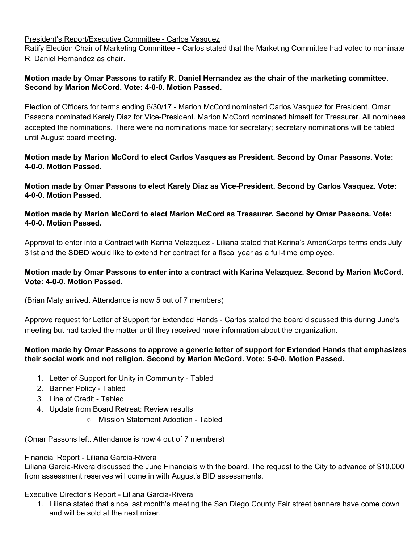## President's Report/Executive Committee - Carlos Vasquez

Ratify Election Chair of Marketing Committee - Carlos stated that the Marketing Committee had voted to nominate R. Daniel Hernandez as chair.

### **Motion made by Omar Passons to ratify R. Daniel Hernandez as the chair of the marketing committee. Second by Marion McCord. Vote: 4-0-0. Motion Passed.**

Election of Officers for terms ending 6/30/17 - Marion McCord nominated Carlos Vasquez for President. Omar Passons nominated Karely Diaz for Vice-President. Marion McCord nominated himself for Treasurer. All nominees accepted the nominations. There were no nominations made for secretary; secretary nominations will be tabled until August board meeting.

### **Motion made by Marion McCord to elect Carlos Vasques as President. Second by Omar Passons. Vote: 4-0-0. Motion Passed.**

**Motion made by Omar Passons to elect Karely Diaz as Vice-President. Second by Carlos Vasquez. Vote: 4-0-0. Motion Passed.**

# **Motion made by Marion McCord to elect Marion McCord as Treasurer. Second by Omar Passons. Vote: 4-0-0. Motion Passed.**

Approval to enter into a Contract with Karina Velazquez - Liliana stated that Karina's AmeriCorps terms ends July 31st and the SDBD would like to extend her contract for a fiscal year as a full-time employee.

# **Motion made by Omar Passons to enter into a contract with Karina Velazquez. Second by Marion McCord. Vote: 4-0-0. Motion Passed.**

(Brian Maty arrived. Attendance is now 5 out of 7 members)

Approve request for Letter of Support for Extended Hands - Carlos stated the board discussed this during June's meeting but had tabled the matter until they received more information about the organization.

# **Motion made by Omar Passons to approve a generic letter of support for Extended Hands that emphasizes their social work and not religion. Second by Marion McCord. Vote: 5-0-0. Motion Passed.**

- 1. Letter of Support for Unity in Community Tabled
- 2. Banner Policy Tabled
- 3. Line of Credit Tabled
- 4. Update from Board Retreat: Review results
	- Mission Statement Adoption Tabled

(Omar Passons left. Attendance is now 4 out of 7 members)

#### Financial Report - Liliana Garcia-Rivera

Liliana Garcia-Rivera discussed the June Financials with the board. The request to the City to advance of \$10,000 from assessment reserves will come in with August's BID assessments.

#### Executive Director's Report - Liliana Garcia-Rivera

1. Liliana stated that since last month's meeting the San Diego County Fair street banners have come down and will be sold at the next mixer.